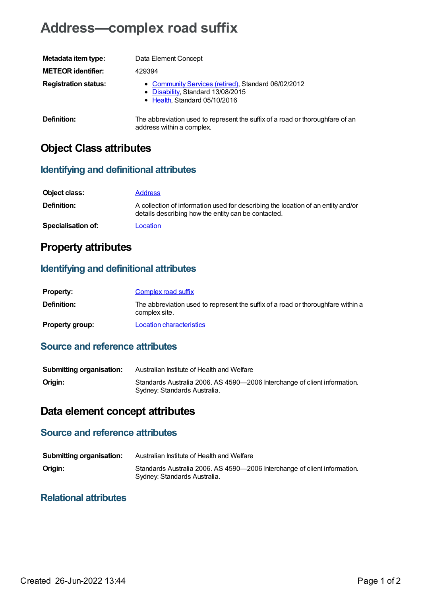# **Address—complex road suffix**

| Metadata item type:         | Data Element Concept                                                                                                      |
|-----------------------------|---------------------------------------------------------------------------------------------------------------------------|
| <b>METEOR identifier:</b>   | 429394                                                                                                                    |
| <b>Registration status:</b> | • Community Services (retired), Standard 06/02/2012<br>• Disability, Standard 13/08/2015<br>• Health, Standard 05/10/2016 |
| Definition:                 | The abbreviation used to represent the suffix of a road or thoroughfare of an<br>address within a complex.                |

# **Object Class attributes**

#### **Identifying and definitional attributes**

| Object class:             | <b>Address</b>                                                                                                                          |
|---------------------------|-----------------------------------------------------------------------------------------------------------------------------------------|
| <b>Definition:</b>        | A collection of information used for describing the location of an entity and/or<br>details describing how the entity can be contacted. |
| <b>Specialisation of:</b> | Location                                                                                                                                |

### **Property attributes**

#### **Identifying and definitional attributes**

| <b>Property:</b>       | <b>Complex road suffix</b>                                                                        |
|------------------------|---------------------------------------------------------------------------------------------------|
| Definition:            | The abbreviation used to represent the suffix of a road or thoroughfare within a<br>complex site. |
| <b>Property group:</b> | Location characteristics                                                                          |

#### **Source and reference attributes**

| <b>Submitting organisation:</b> | Australian Institute of Health and Welfare                                                                |
|---------------------------------|-----------------------------------------------------------------------------------------------------------|
| Origin:                         | Standards Australia 2006. AS 4590-2006 Interchange of client information.<br>Sydney: Standards Australia. |

# **Data element concept attributes**

#### **Source and reference attributes**

| <b>Submitting organisation:</b> | Australian Institute of Health and Welfare                                                                |
|---------------------------------|-----------------------------------------------------------------------------------------------------------|
| Origin:                         | Standards Australia 2006. AS 4590-2006 Interchange of client information.<br>Sydney: Standards Australia. |

#### **Relational attributes**